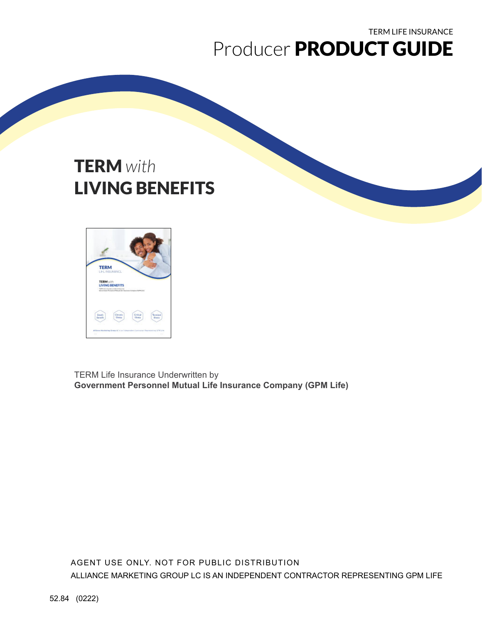## TERM LIFE INSURANCE Producer PRODUCT GUIDE

# TERM *with*  LIVING BENEFITS



TERM Life Insurance Underwritten by **Government Personnel Mutual Life Insurance Company (GPM Life)**

AGENT USE ONLY. NOT FOR PUBLIC DISTRIBUTION ALLIANCE MARKETING GROUP LC IS AN INDEPENDENT CONTRACTOR REPRESENTING GPM LIFE

52.84 (0222)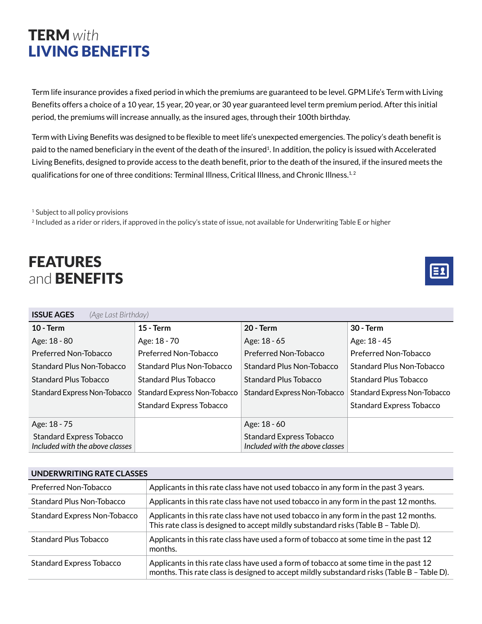## TERM *with*  LIVING BENEFITS

Term life insurance provides a fixed period in which the premiums are guaranteed to be level. GPM Life's Term with Living Benefits offers a choice of a 10 year, 15 year, 20 year, or 30 year guaranteed level term premium period. After this initial period, the premiums will increase annually, as the insured ages, through their 100th birthday.

Term with Living Benefits was designed to be flexible to meet life's unexpected emergencies. The policy's death benefit is paid to the named beneficiary in the event of the death of the insured<sup>1</sup>. In addition, the policy is issued with Accelerated Living Benefits, designed to provide access to the death benefit, prior to the death of the insured, if the insured meets the qualifications for one of three conditions: Terminal Illness, Critical Illness, and Chronic Illness.<sup>1,2</sup>

<sup>1</sup> Subject to all policy provisions

<sup>2</sup> Included as a rider or riders, if approved in the policy's state of issue, not available for Underwriting Table E or higher

## FEATURES and **BENEFITS**



| <b>ISSUE AGES</b><br>(Age Last Birthday)                           |                                     |                                                                    |                                 |  |  |  |
|--------------------------------------------------------------------|-------------------------------------|--------------------------------------------------------------------|---------------------------------|--|--|--|
| $10 - Term$                                                        | $15 - Term$                         | <b>20 - Term</b>                                                   | $30 - Term$                     |  |  |  |
| Age: 18 - 80                                                       | Age: 18 - 70                        | Age: 18 - 65                                                       | Age: 18 - 45                    |  |  |  |
| Preferred Non-Tobacco                                              | Preferred Non-Tobacco               | Preferred Non-Tobacco                                              | Preferred Non-Tobacco           |  |  |  |
| Standard Plus Non-Tobacco                                          | Standard Plus Non-Tobacco           | <b>Standard Plus Non-Tobacco</b>                                   | Standard Plus Non-Tobacco       |  |  |  |
| Standard Plus Tobacco                                              | <b>Standard Plus Tobacco</b>        | <b>Standard Plus Tobacco</b>                                       | Standard Plus Tobacco           |  |  |  |
| Standard Express Non-Tobacco                                       | <b>Standard Express Non-Tobacco</b> | Standard Express Non-Tobacco                                       | Standard Express Non-Tobacco    |  |  |  |
|                                                                    | <b>Standard Express Tobacco</b>     |                                                                    | <b>Standard Express Tobacco</b> |  |  |  |
| Age: 18 - 75                                                       |                                     | Age: 18 - 60                                                       |                                 |  |  |  |
| <b>Standard Express Tobacco</b><br>Included with the above classes |                                     | <b>Standard Express Tobacco</b><br>Included with the above classes |                                 |  |  |  |

| <b>UNDERWRITING RATE CLASSES</b>    |                                                                                                                                                                                      |  |  |  |
|-------------------------------------|--------------------------------------------------------------------------------------------------------------------------------------------------------------------------------------|--|--|--|
| Preferred Non-Tobacco               | Applicants in this rate class have not used tobacco in any form in the past 3 years.                                                                                                 |  |  |  |
| Standard Plus Non-Tobacco           | Applicants in this rate class have not used tobacco in any form in the past 12 months.                                                                                               |  |  |  |
| <b>Standard Express Non-Tobacco</b> | Applicants in this rate class have not used tobacco in any form in the past 12 months.<br>This rate class is designed to accept mildly substandard risks (Table B - Table D).        |  |  |  |
| <b>Standard Plus Tobacco</b>        | Applicants in this rate class have used a form of tobacco at some time in the past 12<br>months.                                                                                     |  |  |  |
| <b>Standard Express Tobacco</b>     | Applicants in this rate class have used a form of tobacco at some time in the past 12<br>months. This rate class is designed to accept mildly substandard risks (Table B - Table D). |  |  |  |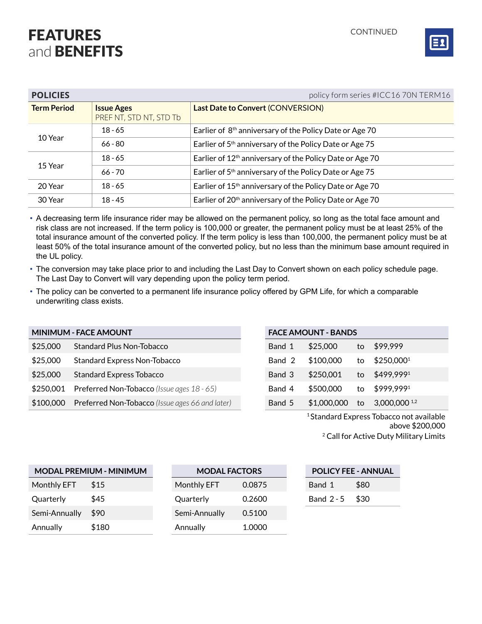## FEATURES and **BENEFITS**



| <b>POLICIES</b>    |                                              | policy form series #ICC16 70N TERM16                                 |
|--------------------|----------------------------------------------|----------------------------------------------------------------------|
| <b>Term Period</b> | <b>Issue Ages</b><br>PREF NT, STD NT, STD Tb | <b>Last Date to Convert (CONVERSION)</b>                             |
|                    | $18 - 65$                                    | Earlier of 8 <sup>th</sup> anniversary of the Policy Date or Age 70  |
| 10 Year            | $66 - 80$                                    | Earlier of 5 <sup>th</sup> anniversary of the Policy Date or Age 75  |
|                    | $18 - 65$                                    | Earlier of 12 <sup>th</sup> anniversary of the Policy Date or Age 70 |
| 15 Year            | $66 - 70$                                    | Earlier of 5 <sup>th</sup> anniversary of the Policy Date or Age 75  |
| 20 Year            | $18 - 65$                                    | Earlier of 15 <sup>th</sup> anniversary of the Policy Date or Age 70 |
| 30 Year            | $18 - 45$                                    | Earlier of 20 <sup>th</sup> anniversary of the Policy Date or Age 70 |

• A decreasing term life insurance rider may be allowed on the permanent policy, so long as the total face amount and risk class are not increased. If the term policy is 100,000 or greater, the permanent policy must be at least 25% of the total insurance amount of the converted policy. If the term policy is less than 100,000, the permanent policy must be at least 50% of the total insurance amount of the converted policy, but no less than the minimum base amount required in the UL policy.

- The conversion may take place prior to and including the Last Day to Convert shown on each policy schedule page. The Last Day to Convert will vary depending upon the policy term period.
- The policy can be converted to a permanent life insurance policy offered by GPM Life, for which a comparable underwriting class exists.

#### **MINIMUM - FACE AMOUNT FACE AMOUNT - BANDS**

| \$25,000  | <b>Standard Plus Non-Tobacco</b>                | Band 1 | \$25,000    | to | \$99,999                   |
|-----------|-------------------------------------------------|--------|-------------|----|----------------------------|
| \$25,000  | <b>Standard Express Non-Tobacco</b>             | Band 2 | \$100,000   | to | $$250,000^1$               |
| \$25,000  | <b>Standard Express Tobacco</b>                 | Band 3 | \$250,001   | to | \$499,9991                 |
| \$250,001 | Preferred Non-Tobacco (Issue ages 18 - 65)      | Band 4 | \$500,000   | to | \$999,9991                 |
| \$100,000 | Preferred Non-Tobacco (Issue ages 66 and later) | Band 5 | \$1,000,000 | to | $3,000,000$ <sup>1,2</sup> |

|        | Band 2 \$100,000 to \$250,000 <sup>1</sup> |  |
|--------|--------------------------------------------|--|
|        | Band 3 \$250,001 to \$499,9991             |  |
| Band 4 | \$500,000 to \$999,999 <sup>1</sup>        |  |
| Band 5 | $$1,000,000$ to 3,000,000 <sup>1,2</sup>   |  |

1 Standard Express Tobacco not available above \$200,000

2 Call for Active Duty Military Limits

| MODAL PREMIUM - MINIMUM |       | <b>MODAL FACTORS</b> |               |        | <b>POLICY FEE - ANNUAL</b> |      |
|-------------------------|-------|----------------------|---------------|--------|----------------------------|------|
| Monthly EFT             | \$15  |                      | Monthly EFT   | 0.0875 | Band 1                     | \$80 |
| Quarterly               | \$45  |                      | Quarterly     | 0.2600 | Band $2 - 5$               | \$30 |
| Semi-Annually           | \$90  |                      | Semi-Annually | 0.5100 |                            |      |
| Annually                | \$180 |                      | Annually      | 1.0000 |                            |      |

| <b>POLICY FEE - ANNUAL</b> |  |      |  |  |  |
|----------------------------|--|------|--|--|--|
| Band 1                     |  | \$80 |  |  |  |
| Band $2 - 5$               |  | \$30 |  |  |  |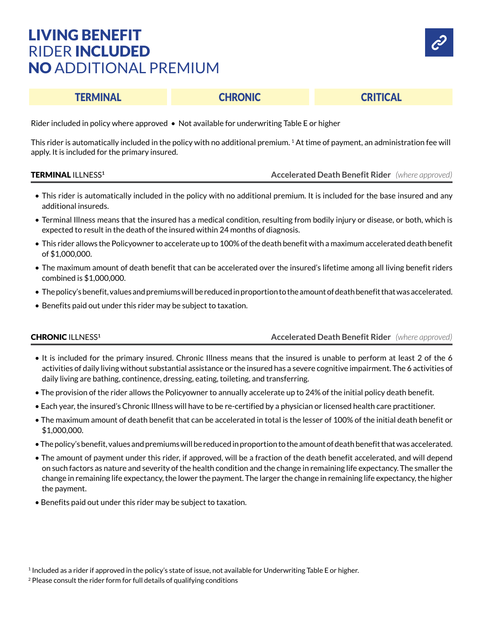## LIVING BENEFIT RIDER INCLUDED NO ADDITIONAL PREMIUM



### TERMINAL CHRONIC CRITICAL

Rider included in policy where approved • Not available for underwriting Table E or higher

This rider is automatically included in the policy with no additional premium. <sup>1</sup> At time of payment, an administration fee will apply. It is included for the primary insured.

### TERMINAL ILLNESS**<sup>1</sup> Accelerated Death Benefit Rider** *(where approved)*

- This rider is automatically included in the policy with no additional premium. It is included for the base insured and any additional insureds.
- Terminal Illness means that the insured has a medical condition, resulting from bodily injury or disease, or both, which is expected to result in the death of the insured within 24 months of diagnosis.
- This rider allows the Policyowner to accelerate up to 100% of the death benefit with a maximum accelerated death benefit of \$1,000,000.
- The maximum amount of death benefit that can be accelerated over the insured's lifetime among all living benefit riders combined is \$1,000,000.
- The policy's benefit, values and premiums will be reduced in proportion to the amount of death benefit that was accelerated.
- Benefits paid out under this rider may be subject to taxation.

### CHRONIC ILLNESS**<sup>1</sup> Accelerated Death Benefit Rider** *(where approved)*

- It is included for the primary insured. Chronic Illness means that the insured is unable to perform at least 2 of the 6 activities of daily living without substantial assistance or the insured has a severe cognitive impairment. The 6 activities of daily living are bathing, continence, dressing, eating, toileting, and transferring.
- The provision of the rider allows the Policyowner to annually accelerate up to 24% of the initial policy death benefit.
- Each year, the insured's Chronic Illness will have to be re-certified by a physician or licensed health care practitioner.
- The maximum amount of death benefit that can be accelerated in total is the lesser of 100% of the initial death benefit or \$1,000,000.
- The policy's benefit, values and premiums will be reduced in proportion to the amount of death benefit that was accelerated.
- The amount of payment under this rider, if approved, will be a fraction of the death benefit accelerated, and will depend on such factors as nature and severity of the health condition and the change in remaining life expectancy. The smaller the change in remaining life expectancy, the lower the payment. The larger the change in remaining life expectancy, the higher the payment.
- Benefits paid out under this rider may be subject to taxation.

<sup>1</sup> Included as a rider if approved in the policy's state of issue, not available for Underwriting Table E or higher.

<sup>&</sup>lt;sup>2</sup> Please consult the rider form for full details of qualifying conditions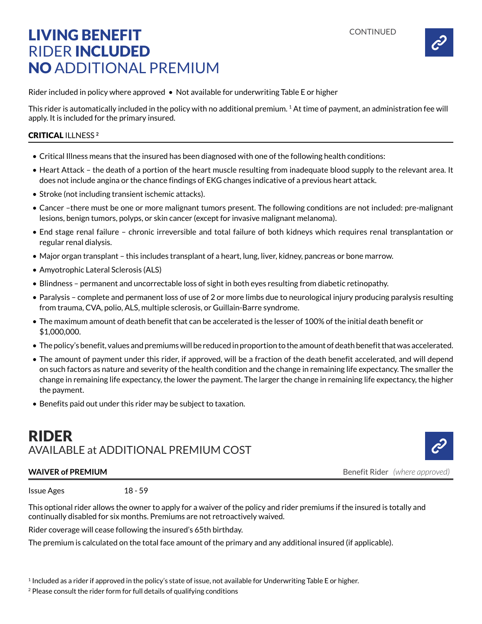

## LIVING BENEFIT RIDER INCLUDED NO ADDITIONAL PREMIUM

Rider included in policy where approved • Not available for underwriting Table E or higher

This rider is automatically included in the policy with no additional premium.  $1$  At time of payment, an administration fee will apply. It is included for the primary insured.

### CRITICAL ILLNESS **<sup>2</sup>**

- Critical Illness means that the insured has been diagnosed with one of the following health conditions:
- Heart Attack the death of a portion of the heart muscle resulting from inadequate blood supply to the relevant area. It does not include angina or the chance findings of EKG changes indicative of a previous heart attack.
- Stroke (not including transient ischemic attacks).
- Cancer –there must be one or more malignant tumors present. The following conditions are not included: pre-malignant lesions, benign tumors, polyps, or skin cancer (except for invasive malignant melanoma).
- End stage renal failure chronic irreversible and total failure of both kidneys which requires renal transplantation or regular renal dialysis.
- Major organ transplant this includes transplant of a heart, lung, liver, kidney, pancreas or bone marrow.
- Amyotrophic Lateral Sclerosis (ALS)
- Blindness permanent and uncorrectable loss of sight in both eyes resulting from diabetic retinopathy.
- Paralysis complete and permanent loss of use of 2 or more limbs due to neurological injury producing paralysis resulting from trauma, CVA, polio, ALS, multiple sclerosis, or Guillain-Barre syndrome.
- The maximum amount of death benefit that can be accelerated is the lesser of 100% of the initial death benefit or \$1,000,000.
- The policy's benefit, values and premiums will be reduced in proportion to the amount of death benefit that was accelerated.
- The amount of payment under this rider, if approved, will be a fraction of the death benefit accelerated, and will depend on such factors as nature and severity of the health condition and the change in remaining life expectancy. The smaller the change in remaining life expectancy, the lower the payment. The larger the change in remaining life expectancy, the higher the payment.
- Benefits paid out under this rider may be subject to taxation.

## RIDER AVAILABLE at ADDITIONAL PREMIUM COST

**WAIVER of PREMIUM Benefit Rider** *(where approved)* **Benefit Rider** *(where approved)* 

Issue Ages 18 - 59

This optional rider allows the owner to apply for a waiver of the policy and rider premiums if the insured is totally and continually disabled for six months. Premiums are not retroactively waived.

Rider coverage will cease following the insured's 65th birthday.

The premium is calculated on the total face amount of the primary and any additional insured (if applicable).

<sup>2</sup> Please consult the rider form for full details of qualifying conditions

<sup>1</sup> Included as a rider if approved in the policy's state of issue, not available for Underwriting Table E or higher.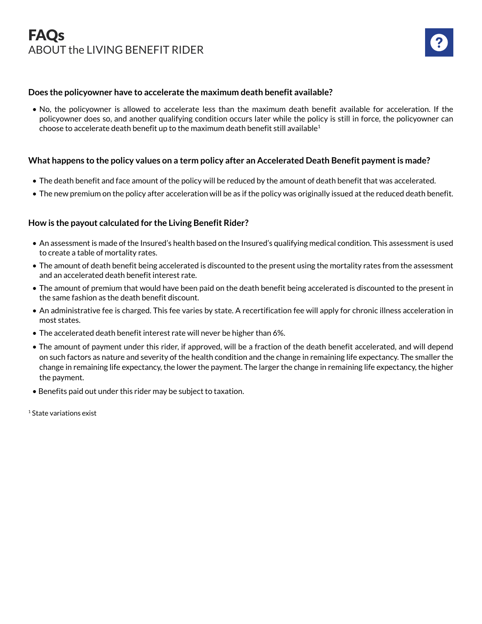

### **Does the policyowner have to accelerate the maximum death benefit available?**

• No, the policyowner is allowed to accelerate less than the maximum death benefit available for acceleration. If the policyowner does so, and another qualifying condition occurs later while the policy is still in force, the policyowner can choose to accelerate death benefit up to the maximum death benefit still available<sup>1</sup>

### **What happens to the policy values on a term policy after an Accelerated Death Benefit payment is made?**

- The death benefit and face amount of the policy will be reduced by the amount of death benefit that was accelerated.
- The new premium on the policy after acceleration will be as if the policy was originally issued at the reduced death benefit.

### **How is the payout calculated for the Living Benefit Rider?**

- An assessment is made of the Insured's health based on the Insured's qualifying medical condition. This assessment is used to create a table of mortality rates.
- The amount of death benefit being accelerated is discounted to the present using the mortality rates from the assessment and an accelerated death benefit interest rate.
- The amount of premium that would have been paid on the death benefit being accelerated is discounted to the present in the same fashion as the death benefit discount.
- An administrative fee is charged. This fee varies by state. A recertification fee will apply for chronic illness acceleration in most states.
- The accelerated death benefit interest rate will never be higher than 6%.
- The amount of payment under this rider, if approved, will be a fraction of the death benefit accelerated, and will depend on such factors as nature and severity of the health condition and the change in remaining life expectancy. The smaller the change in remaining life expectancy, the lower the payment. The larger the change in remaining life expectancy, the higher the payment.
- Benefits paid out under this rider may be subject to taxation.

1 State variations exist